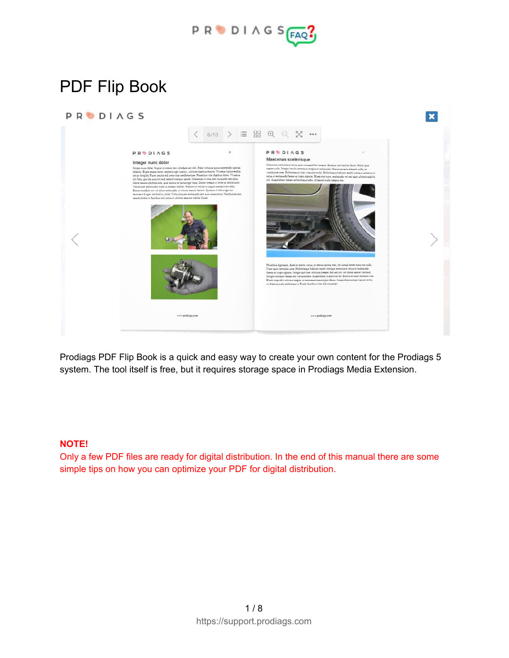

 $\overline{\mathbf{x}}$ 

# PDF Flip Book





Prodiags PDF Flip Book is a quick and easy way to create your own content for the Prodiags 5 system. The tool itself is free, but it requires storage space in Prodiags Media Extension.

#### **NOTE!**

Only a few PDF files are ready for digital distribution. In the end of this manual there are some simple tips on how you can optimize your PDF for digital distribution.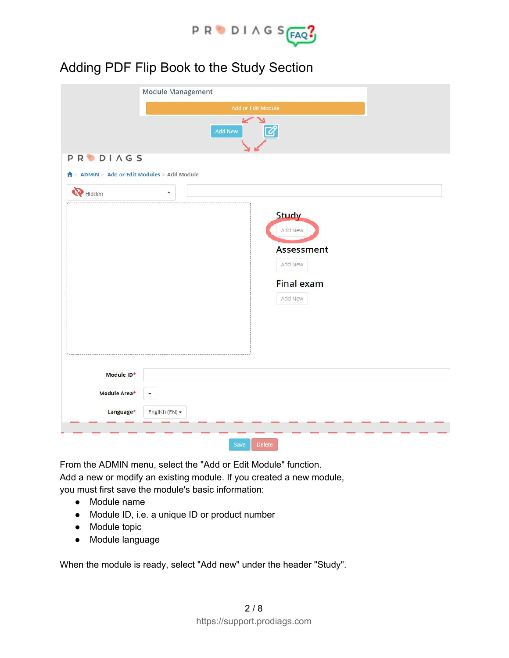

### Adding PDF Flip Book to the Study Section

|                                                               | <b>Module Management</b>                                                         |
|---------------------------------------------------------------|----------------------------------------------------------------------------------|
|                                                               | Add or Edit Module                                                               |
|                                                               | رد<br>$\boxtimes$<br><b>Add New</b>                                              |
| <b>PRODIAGS</b><br>↑ ADMIN > Add or Edit Modules > Add Module |                                                                                  |
| Hidden                                                        |                                                                                  |
| Module ID*                                                    | <b>Study</b><br>Add New<br>Assessment<br>Add New<br><b>Final exam</b><br>Add New |
|                                                               |                                                                                  |
| Module Area*                                                  |                                                                                  |
| Language*                                                     | English (EN) -                                                                   |
|                                                               |                                                                                  |
|                                                               | <b>Delete</b><br>Save                                                            |

From the ADMIN menu, select the "Add or Edit Module" function. Add a new or modify an existing module. If you created a new module, you must first save the module's basic information:

- Module name
- Module ID, i.e. a unique ID or product number
- Module topic
- Module language

When the module is ready, select "Add new" under the header "Study".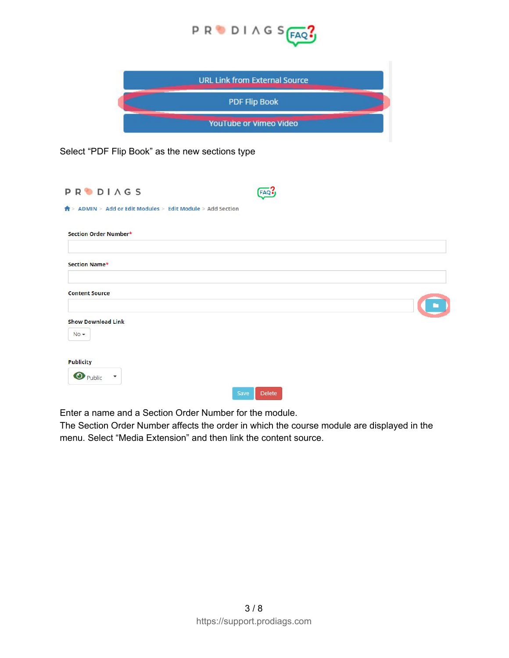

| <b>URL Link from External Source</b> |  |
|--------------------------------------|--|
| <b>PDF Flip Book</b>                 |  |
| YouTube or Vimeo Video               |  |

Select "PDF Flip Book" as the new sections type

| <b>PRODIAGS</b>                                                         | FAQ            |  |
|-------------------------------------------------------------------------|----------------|--|
| $\bigwedge^2$ > ADMIN > Add or Edit Modules > Edit Module > Add Section |                |  |
| Section Order Number*                                                   |                |  |
| Section Name*                                                           |                |  |
| <b>Content Source</b>                                                   |                |  |
| <b>Show Download Link</b><br>$No -$                                     |                |  |
| <b>Publicity</b><br><b>O</b> Public<br>$\overline{\phantom{a}}$         |                |  |
|                                                                         | Save<br>Delete |  |

Enter a name and a Section Order Number for the module.

The Section Order Number affects the order in which the course module are displayed in the menu. Select "Media Extension" and then link the content source.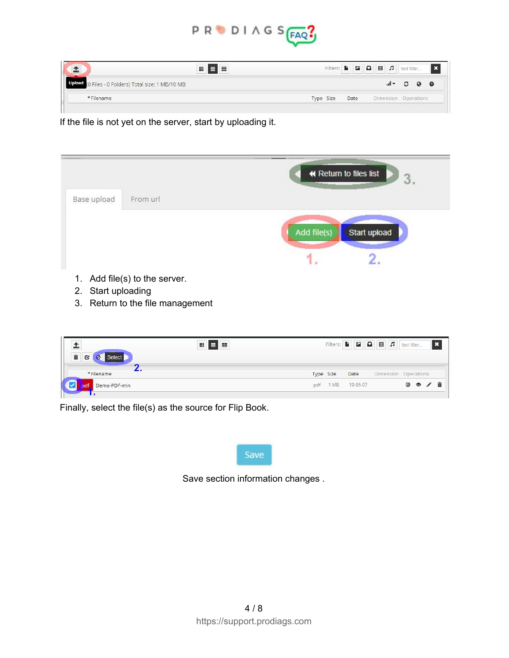

| ÷                                                      | 冊<br>噩<br>э |           |      |                      |                                                    |  |
|--------------------------------------------------------|-------------|-----------|------|----------------------|----------------------------------------------------|--|
| Upload<br>(0 Files - 0 Folders) Total size: 1 MB/10 MB |             |           |      |                      | $\mathbb{I}$ $\sim$ $\mathbb{C}$ $\Theta$ $\Theta$ |  |
| *Filename                                              |             | Type Size | Date | Dimension Operations |                                                    |  |
|                                                        |             |           |      |                      |                                                    |  |

If the file is not yet on the server, start by uploading it.

|                    |                               | ← Return to files list<br>3 |
|--------------------|-------------------------------|-----------------------------|
| Base upload        | From url                      |                             |
|                    |                               | Add file(s)<br>Start upload |
|                    |                               |                             |
| 2. Start uploading | 1. Add file(s) to the server. |                             |

3. Return to the file management

| 童<br><b>Select</b><br>C | 帯<br>王<br>▤ |           |                   | Filters: $\blacksquare$ $\square$ $\square$ $\blacksquare$ $\square$ text filter |                   |  |
|-------------------------|-------------|-----------|-------------------|----------------------------------------------------------------------------------|-------------------|--|
| *Filename               |             | Type Size | Date              | Dimension Operations                                                             |                   |  |
| Demo-PDF-min            |             |           | pdf 1 MB 19-05-07 |                                                                                  | $\circ$ $\circ$ / |  |
|                         |             |           |                   |                                                                                  |                   |  |

Finally, select the file(s) as the source for Flip Book.



Save section information changes .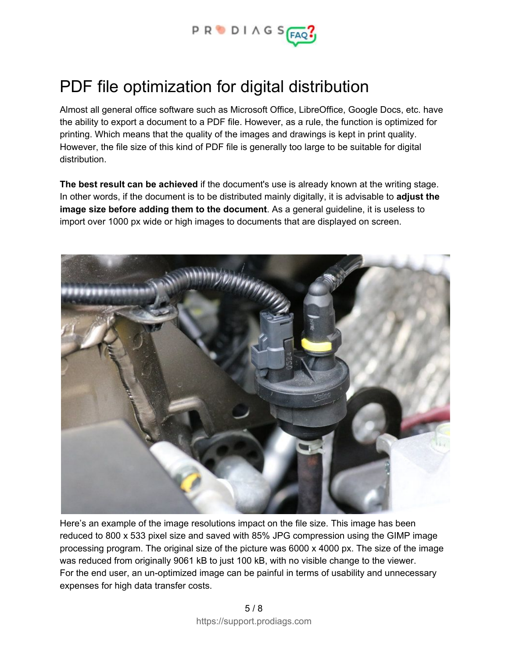

## PDF file optimization for digital distribution

Almost all general office software such as Microsoft Office, LibreOffice, Google Docs, etc. have the ability to export a document to a PDF file. However, as a rule, the function is optimized for printing. Which means that the quality of the images and drawings is kept in print quality. However, the file size of this kind of PDF file is generally too large to be suitable for digital distribution.

**The best result can be achieved** if the document's use is already known at the writing stage. In other words, if the document is to be distributed mainly digitally, it is advisable to **adjust the image size before adding them to the document**. As a general guideline, it is useless to import over 1000 px wide or high images to documents that are displayed on screen.



Here's an example of the image resolutions impact on the file size. This image has been reduced to 800 x 533 pixel size and saved with 85% JPG compression using the GIMP image processing program. The original size of the picture was 6000 x 4000 px. The size of the image was reduced from originally 9061 kB to just 100 kB, with no visible change to the viewer. For the end user, an un-optimized image can be painful in terms of usability and unnecessary expenses for high data transfer costs.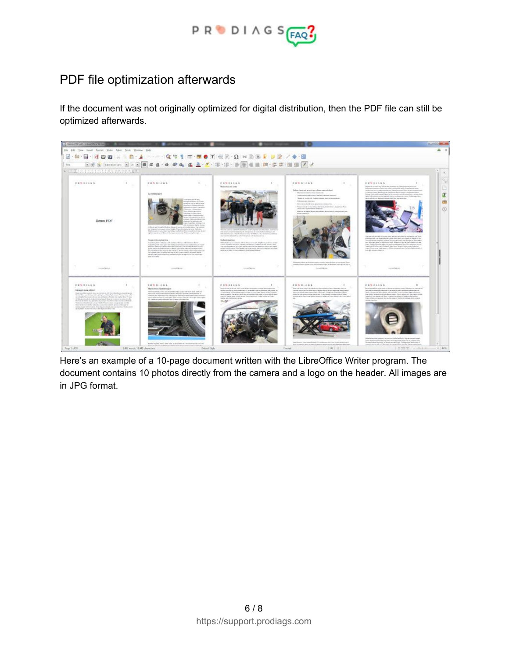

#### PDF file optimization afterwards

If the document was not originally optimized for digital distribution, then the PDF file can still be optimized afterwards.



Here's an example of a 10-page document written with the LibreOffice Writer program. The document contains 10 photos directly from the camera and a logo on the header. All images are in JPG format.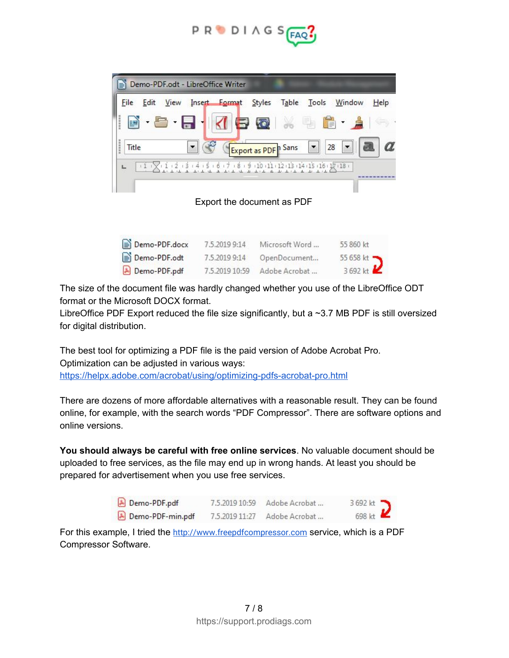

|                 |                           | Demo-PDF.odt - LibreOffice Writer       |                    |                             |                |               |
|-----------------|---------------------------|-----------------------------------------|--------------------|-----------------------------|----------------|---------------|
| Edit<br>File    | View                      | Insert Format Styles Table Tools Window |                    |                             |                | Help          |
| į<br>þ          | $\cdot \cdot \cdot \cdot$ |                                         | KIBROIX HEILA      |                             |                |               |
| ,,,,,,<br>Title |                           |                                         | Export as PDF Sans |                             | $28$ $\bullet$ | a<br>$\alpha$ |
|                 |                           | $111$ $111213141516171819$              |                    | 10:11:12:13:14:15:16:17:18: |                |               |
|                 |                           |                                         |                    |                             |                |               |

Export the document as PDF

| Demo-PDF.docx | 7.5.2019 9:14  | Microsoft Word | 55 860 kt            |
|---------------|----------------|----------------|----------------------|
| Demo-PDF.odt  | 7.5.2019 9:14  | OpenDocument   | 55 658 kt            |
| Demo-PDF.pdf  | 7.5.2019 10:59 | Adobe Acrobat  | 3692 kt $\mathbf{Z}$ |

The size of the document file was hardly changed whether you use of the LibreOffice ODT format or the Microsoft DOCX format.

LibreOffice PDF Export reduced the file size significantly, but a ~3.7 MB PDF is still oversized for digital distribution.

The best tool for optimizing a PDF file is the paid version of Adobe Acrobat Pro. Optimization can be adjusted in various ways: <https://helpx.adobe.com/acrobat/using/optimizing-pdfs-acrobat-pro.html>

There are dozens of more affordable alternatives with a reasonable result. They can be found online, for example, with the search words "PDF Compressor". There are software options and online versions.

**You should always be careful with free online services**. No valuable document should be uploaded to free services, as the file may end up in wrong hands. At least you should be prepared for advertisement when you use free services.

| Demo-PDF.pdf     | 7.5.2019 10:59 | Adobe Acrobat | 3 692 kt            |
|------------------|----------------|---------------|---------------------|
| Demo-PDF-min.pdf | 7.5.2019 11:27 | Adobe Acrobat | 698 kt $\mathbf{Z}$ |

For this example, I tried the [http://www.freepdfcompressor.com](http://www.freepdfcompressor.com/) service, which is a PDF Compressor Software.